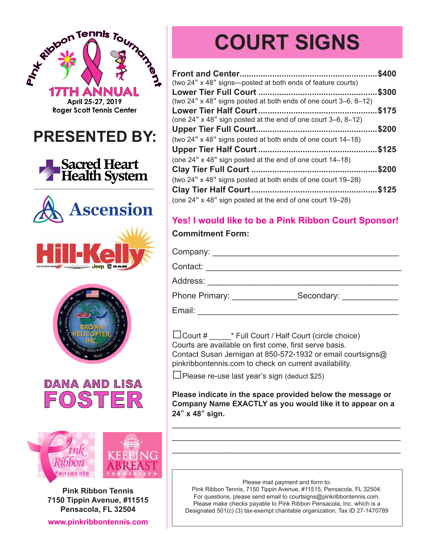



**Pink Ribbon Tennis 7150 Tippin Avenue, #11515 Pensacola, FL 32504**

**www.pinkribbontennis.com**

# **COURT SIGNS**

|                                                                  | \$400 |
|------------------------------------------------------------------|-------|
| (two 24" x 48" signs—posted at both ends of feature courts)      | \$300 |
| (two 24" x 48" signs posted at both ends of one court 3–6, 8–12) |       |
| (one 24" x 48" sign posted at the end of one court 3–6, 8–12)    | \$175 |
|                                                                  | \$200 |
| (two 24" x 48" signs posted at both ends of one court 14–18)     |       |
| (one 24" x 48" sign posted at the end of one court 14-18)        | \$125 |
|                                                                  | \$200 |
| (two 24" x 48" signs posted at both ends of one court 19–28)     |       |
|                                                                  | \$125 |
| (one 24" x 48" sign posted at the end of one court 19-28)        |       |

## **Yes! I would like to be a Pink Ribbon Court Sponsor!**

#### **Commitment Form:**

Company: \_\_\_\_\_\_\_\_\_\_\_\_\_\_\_\_\_\_\_\_\_\_\_\_\_\_\_\_\_\_\_\_\_\_\_\_\_\_\_\_ Contact: \_\_\_\_\_\_\_\_\_\_\_\_\_\_\_\_\_\_\_\_\_\_\_\_\_\_\_\_\_\_\_\_\_\_\_\_\_\_\_\_\_\_ Address: \_\_\_\_\_\_\_\_\_\_\_\_\_\_\_\_\_\_\_\_\_\_\_\_\_\_\_\_\_\_\_\_\_\_\_\_\_\_\_\_\_ Phone Primary: \_\_\_\_\_\_\_\_\_\_\_\_\_\_\_\_\_\_\_Secondary: \_\_\_\_\_\_\_\_\_\_\_\_\_\_\_\_\_\_\_\_\_\_\_\_\_\_\_\_\_\_\_\_\_\_\_

Email: \_\_\_\_\_\_\_\_\_\_\_\_\_\_\_\_\_\_\_\_\_\_\_\_\_\_\_\_\_\_\_\_\_\_\_\_\_\_\_\_\_\_\_

□Court # \_\_\_\_\_\* Full Court / Half Court (circle choice) Courts are available on first come, first serve basis. Contact Susan Jernigan at 850-572-1932 or email courtsigns@ pinkribbontennis.com to check on current availability.

 $\Box$ Please re-use last year's sign (deduct \$25)

**Please indicate in the space provided below the message or Company Name EXACTLY as you would like it to appear on a 24**" **x 48**" **sign.**

\_\_\_\_\_\_\_\_\_\_\_\_\_\_\_\_\_\_\_\_\_\_\_\_\_\_\_\_\_\_\_\_\_\_\_\_\_\_\_\_\_\_\_\_\_\_\_\_\_ \_\_\_\_\_\_\_\_\_\_\_\_\_\_\_\_\_\_\_\_\_\_\_\_\_\_\_\_\_\_\_\_\_\_\_\_\_\_\_\_\_\_\_\_\_\_\_\_\_ \_\_\_\_\_\_\_\_\_\_\_\_\_\_\_\_\_\_\_\_\_\_\_\_\_\_\_\_\_\_\_\_\_\_\_\_\_\_\_\_\_\_\_\_\_\_\_\_\_

Please mail payment and form to:

Pink Ribbon Tennis, 7150 Tippin Avenue, #11515, Pensacola, FL 32504. For questions, please send email to courtsigns@pinkribbontennis.com. Please make checks payable to Pink Ribbon Pensacola, Inc. which is a Designated 501(c) (3) tax-exempt charitable organization; Tax ID 27-1470789